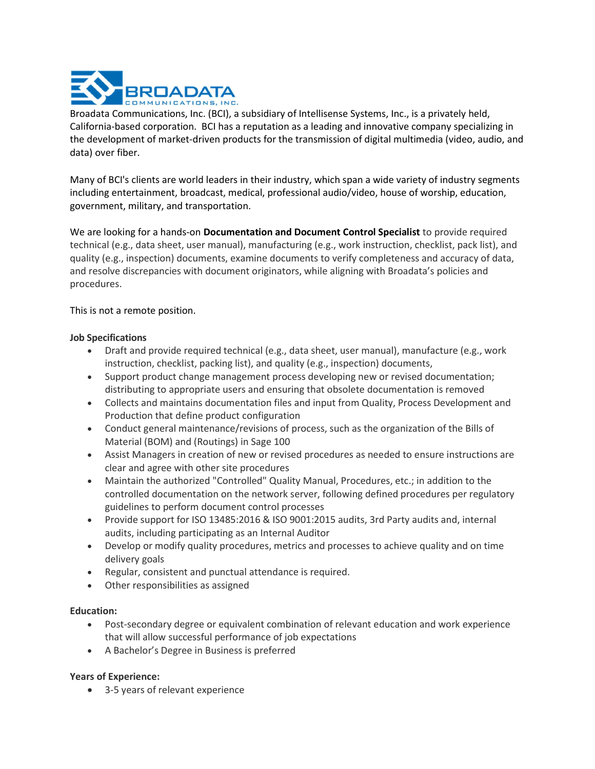

Broadata Communications, Inc. (BCI), a subsidiary of Intellisense Systems, Inc., is a privately held, California-based corporation. BCI has a reputation as a leading and innovative company specializing in the development of market-driven products for the transmission of digital multimedia (video, audio, and data) over fiber.

Many of BCI's clients are world leaders in their industry, which span a wide variety of industry segments including entertainment, broadcast, medical, professional audio/video, house of worship, education, government, military, and transportation.

We are looking for a hands-on Documentation and Document Control Specialist to provide required technical (e.g., data sheet, user manual), manufacturing (e.g., work instruction, checklist, pack list), and quality (e.g., inspection) documents, examine documents to verify completeness and accuracy of data, and resolve discrepancies with document originators, while aligning with Broadata's policies and procedures.

This is not a remote position.

# Job Specifications

- Draft and provide required technical (e.g., data sheet, user manual), manufacture (e.g., work instruction, checklist, packing list), and quality (e.g., inspection) documents,
- Support product change management process developing new or revised documentation; distributing to appropriate users and ensuring that obsolete documentation is removed
- Collects and maintains documentation files and input from Quality, Process Development and Production that define product configuration
- Conduct general maintenance/revisions of process, such as the organization of the Bills of Material (BOM) and (Routings) in Sage 100
- Assist Managers in creation of new or revised procedures as needed to ensure instructions are clear and agree with other site procedures
- Maintain the authorized "Controlled" Quality Manual, Procedures, etc.; in addition to the controlled documentation on the network server, following defined procedures per regulatory guidelines to perform document control processes
- Provide support for ISO 13485:2016 & ISO 9001:2015 audits, 3rd Party audits and, internal audits, including participating as an Internal Auditor
- Develop or modify quality procedures, metrics and processes to achieve quality and on time delivery goals
- Regular, consistent and punctual attendance is required.
- Other responsibilities as assigned

# Education:

- Post-secondary degree or equivalent combination of relevant education and work experience that will allow successful performance of job expectations
- A Bachelor's Degree in Business is preferred

# Years of Experience:

3-5 years of relevant experience